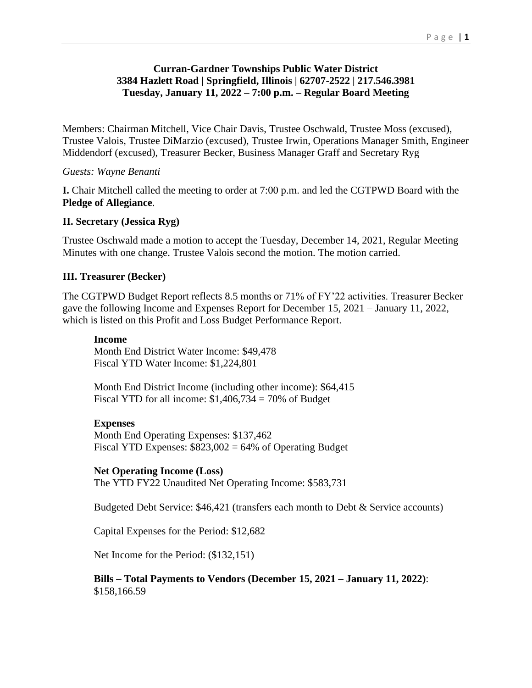## **Curran-Gardner Townships Public Water District 3384 Hazlett Road | Springfield, Illinois | 62707-2522 | 217.546.3981 Tuesday, January 11, 2022 – 7:00 p.m. – Regular Board Meeting**

Members: Chairman Mitchell, Vice Chair Davis, Trustee Oschwald, Trustee Moss (excused), Trustee Valois, Trustee DiMarzio (excused), Trustee Irwin, Operations Manager Smith, Engineer Middendorf (excused), Treasurer Becker, Business Manager Graff and Secretary Ryg

## *Guests: Wayne Benanti*

**I.** Chair Mitchell called the meeting to order at 7:00 p.m. and led the CGTPWD Board with the **Pledge of Allegiance**.

## **II. Secretary (Jessica Ryg)**

Trustee Oschwald made a motion to accept the Tuesday, December 14, 2021, Regular Meeting Minutes with one change. Trustee Valois second the motion. The motion carried.

## **III. Treasurer (Becker)**

The CGTPWD Budget Report reflects 8.5 months or 71% of FY'22 activities. Treasurer Becker gave the following Income and Expenses Report for December 15, 2021 – January 11, 2022, which is listed on this Profit and Loss Budget Performance Report.

#### **Income**

Month End District Water Income: \$49,478 Fiscal YTD Water Income: \$1,224,801

Month End District Income (including other income): \$64,415 Fiscal YTD for all income:  $$1,406,734 = 70\%$  of Budget

### **Expenses**

Month End Operating Expenses: \$137,462 Fiscal YTD Expenses:  $$823,002 = 64\%$  of Operating Budget

### **Net Operating Income (Loss)**

The YTD FY22 Unaudited Net Operating Income: \$583,731

Budgeted Debt Service: \$46,421 (transfers each month to Debt & Service accounts)

Capital Expenses for the Period: \$12,682

Net Income for the Period: (\$132,151)

#### **Bills – Total Payments to Vendors (December 15, 2021 – January 11, 2022)**: \$158,166.59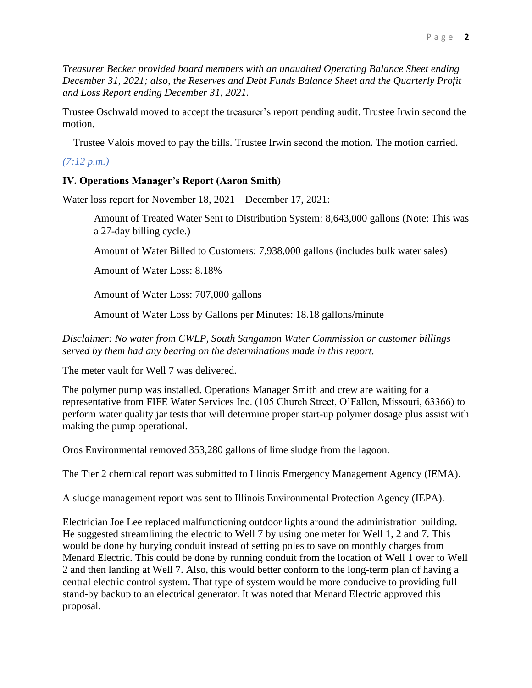*Treasurer Becker provided board members with an unaudited Operating Balance Sheet ending December 31, 2021; also, the Reserves and Debt Funds Balance Sheet and the Quarterly Profit and Loss Report ending December 31, 2021.*

Trustee Oschwald moved to accept the treasurer's report pending audit. Trustee Irwin second the motion.

Trustee Valois moved to pay the bills. Trustee Irwin second the motion. The motion carried.

*(7:12 p.m.)*

# **IV. Operations Manager's Report (Aaron Smith)**

Water loss report for November 18, 2021 – December 17, 2021:

Amount of Treated Water Sent to Distribution System: 8,643,000 gallons (Note: This was a 27-day billing cycle.)

Amount of Water Billed to Customers: 7,938,000 gallons (includes bulk water sales)

Amount of Water Loss: 8.18%

Amount of Water Loss: 707,000 gallons

Amount of Water Loss by Gallons per Minutes: 18.18 gallons/minute

*Disclaimer: No water from CWLP, South Sangamon Water Commission or customer billings served by them had any bearing on the determinations made in this report.*

The meter vault for Well 7 was delivered.

The polymer pump was installed. Operations Manager Smith and crew are waiting for a representative from FIFE Water Services Inc. (105 Church Street, O'Fallon, Missouri, 63366) to perform water quality jar tests that will determine proper start-up polymer dosage plus assist with making the pump operational.

Oros Environmental removed 353,280 gallons of lime sludge from the lagoon.

The Tier 2 chemical report was submitted to Illinois Emergency Management Agency (IEMA).

A sludge management report was sent to Illinois Environmental Protection Agency (IEPA).

Electrician Joe Lee replaced malfunctioning outdoor lights around the administration building. He suggested streamlining the electric to Well 7 by using one meter for Well 1, 2 and 7. This would be done by burying conduit instead of setting poles to save on monthly charges from Menard Electric. This could be done by running conduit from the location of Well 1 over to Well 2 and then landing at Well 7. Also, this would better conform to the long-term plan of having a central electric control system. That type of system would be more conducive to providing full stand-by backup to an electrical generator. It was noted that Menard Electric approved this proposal.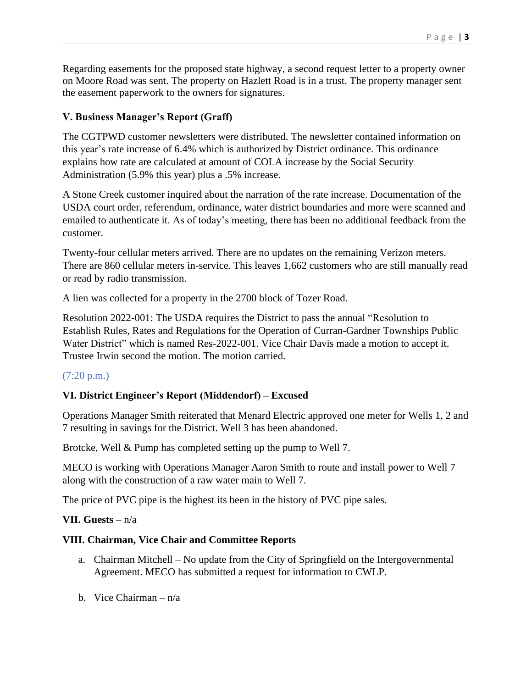Regarding easements for the proposed state highway, a second request letter to a property owner on Moore Road was sent. The property on Hazlett Road is in a trust. The property manager sent the easement paperwork to the owners for signatures.

# **V. Business Manager's Report (Graff)**

The CGTPWD customer newsletters were distributed. The newsletter contained information on this year's rate increase of 6.4% which is authorized by District ordinance. This ordinance explains how rate are calculated at amount of COLA increase by the Social Security Administration (5.9% this year) plus a .5% increase.

A Stone Creek customer inquired about the narration of the rate increase. Documentation of the USDA court order, referendum, ordinance, water district boundaries and more were scanned and emailed to authenticate it. As of today's meeting, there has been no additional feedback from the customer.

Twenty-four cellular meters arrived. There are no updates on the remaining Verizon meters. There are 860 cellular meters in-service. This leaves 1,662 customers who are still manually read or read by radio transmission.

A lien was collected for a property in the 2700 block of Tozer Road.

Resolution 2022-001: The USDA requires the District to pass the annual "Resolution to Establish Rules, Rates and Regulations for the Operation of Curran-Gardner Townships Public Water District" which is named Res-2022-001. Vice Chair Davis made a motion to accept it. Trustee Irwin second the motion. The motion carried.

# (7:20 p.m.)

# **VI. District Engineer's Report (Middendorf) – Excused**

Operations Manager Smith reiterated that Menard Electric approved one meter for Wells 1, 2 and 7 resulting in savings for the District. Well 3 has been abandoned.

Brotcke, Well & Pump has completed setting up the pump to Well 7.

MECO is working with Operations Manager Aaron Smith to route and install power to Well 7 along with the construction of a raw water main to Well 7.

The price of PVC pipe is the highest its been in the history of PVC pipe sales.

# **VII. Guests** – n/a

# **VIII. Chairman, Vice Chair and Committee Reports**

- a. Chairman Mitchell No update from the City of Springfield on the Intergovernmental Agreement. MECO has submitted a request for information to CWLP.
- b. Vice Chairman n/a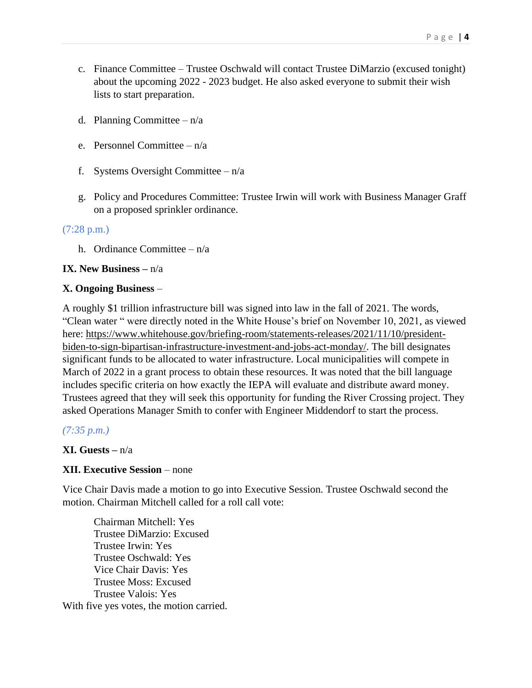- c. Finance Committee Trustee Oschwald will contact Trustee DiMarzio (excused tonight) about the upcoming 2022 - 2023 budget. He also asked everyone to submit their wish lists to start preparation.
- d. Planning Committee  $-n/a$
- e. Personnel Committee n/a
- f. Systems Oversight Committee  $-n/a$
- g. Policy and Procedures Committee: Trustee Irwin will work with Business Manager Graff on a proposed sprinkler ordinance.

### (7:28 p.m.)

h. Ordinance Committee – n/a

### **IX. New Business –** n/a

#### **X. Ongoing Business** –

A roughly \$1 trillion infrastructure bill was signed into law in the fall of 2021. The words, "Clean water " were directly noted in the White House's brief on November 10, 2021, as viewed here: [https://www.whitehouse.gov/briefing-room/statements-releases/2021/11/10/president](https://www.whitehouse.gov/briefing-room/statements-releases/2021/11/10/president-biden-to-sign-bipartisan-infrastructure-investment-and-jobs-act-monday/)[biden-to-sign-bipartisan-infrastructure-investment-and-jobs-act-monday/.](https://www.whitehouse.gov/briefing-room/statements-releases/2021/11/10/president-biden-to-sign-bipartisan-infrastructure-investment-and-jobs-act-monday/) The bill designates significant funds to be allocated to water infrastructure. Local municipalities will compete in March of 2022 in a grant process to obtain these resources. It was noted that the bill language includes specific criteria on how exactly the IEPA will evaluate and distribute award money. Trustees agreed that they will seek this opportunity for funding the River Crossing project. They asked Operations Manager Smith to confer with Engineer Middendorf to start the process.

### *(7:35 p.m.)*

### **XI. Guests –** n/a

### **XII. Executive Session** – none

Vice Chair Davis made a motion to go into Executive Session. Trustee Oschwald second the motion. Chairman Mitchell called for a roll call vote:

Chairman Mitchell: Yes Trustee DiMarzio: Excused Trustee Irwin: Yes Trustee Oschwald: Yes Vice Chair Davis: Yes Trustee Moss: Excused Trustee Valois: Yes With five yes votes, the motion carried.